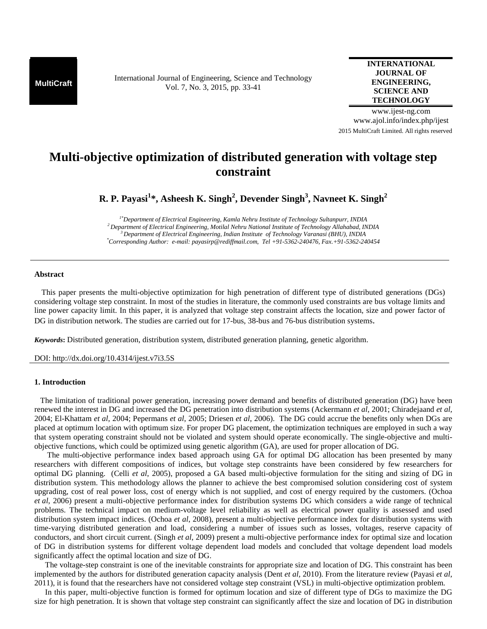**MultiCraft** International Journal of Engineering, Science and Technology Vol. 7, No. 3, 2015, pp. 33-41

## **INTERNATIONAL JOURNAL OF ENGINEERING, SCIENCE AND TECHNOLOGY**

www.ijest-ng.com www.ajol.info/index.php/ijest 2015 MultiCraft Limited. All rights reserved

# **Multi-objective optimization of distributed generation with voltage step constraint**

**R. P. Payasi<sup>1</sup> \*, Asheesh K. Singh<sup>2</sup> , Devender Singh<sup>3</sup> , Navneet K. Singh<sup>2</sup>**

*1\*Department of Electrical Engineering, Kamla Nehru Institute of Technology Sultanpurr, INDIA <sup>2</sup>Department of Electrical Engineering, Motilal Nehru National Institute of Technology Allahabad, INDIA <sup>3</sup>Department of Electrical Engineering, Indian Institute of Technology Varanasi (BHU), INDIA \*Corresponding Author: e-mail: payasirp@rediffmail.com, Tel +91-5362-240476, Fax.+91-5362-240454*

## **Abstract**

 This paper presents the multi-objective optimization for high penetration of different type of distributed generations (DGs) considering voltage step constraint. In most of the studies in literature, the commonly used constraints are bus voltage limits and line power capacity limit. In this paper, it is analyzed that voltage step constraint affects the location, size and power factor of DG in distribution network. The studies are carried out for 17-bus, 38-bus and 76-bus distribution systems.

*Keywords***:** Distributed generation, distribution system, distributed generation planning, genetic algorithm.

DOI: http://dx.doi.org/10.4314/ijest.v7i3.5S

## **1. Introduction**

 The limitation of traditional power generation, increasing power demand and benefits of distributed generation (DG) have been renewed the interest in DG and increased the DG penetration into distribution systems (Ackermann *et al*, 2001; Chiradejaand *et al,*  2004; El-Khattam *et al*, 2004; Pepermans *et al*, 2005; Driesen *et al*, 2006). The DG could accrue the benefits only when DGs are placed at optimum location with optimum size. For proper DG placement, the optimization techniques are employed in such a way that system operating constraint should not be violated and system should operate economically. The single-objective and multiobjective functions, which could be optimized using genetic algorithm (GA), are used for proper allocation of DG.

 The multi-objective performance index based approach using GA for optimal DG allocation has been presented by many researchers with different compositions of indices, but voltage step constraints have been considered by few researchers for optimal DG planning. (Celli *et al*, 2005), proposed a GA based multi-objective formulation for the siting and sizing of DG in distribution system. This methodology allows the planner to achieve the best compromised solution considering cost of system upgrading, cost of real power loss, cost of energy which is not supplied, and cost of energy required by the customers. (Ochoa *et al*, 2006) present a multi-objective performance index for distribution systems DG which considers a wide range of technical problems. The technical impact on medium-voltage level reliability as well as electrical power quality is assessed and used distribution system impact indices. (Ochoa *et al*, 2008), present a multi-objective performance index for distribution systems with time-varying distributed generation and load, considering a number of issues such as losses, voltages, reserve capacity of conductors, and short circuit current. (Singh *et al*, 2009) present a multi-objective performance index for optimal size and location of DG in distribution systems for different voltage dependent load models and concluded that voltage dependent load models significantly affect the optimal location and size of DG.

The voltage-step constraint is one of the inevitable constraints for appropriate size and location of DG. This constraint has been implemented by the authors for distributed generation capacity analysis (Dent *et al,* 2010). From the literature review (Payasi *et al*, 2011), it is found that the researchers have not considered voltage step constraint (VSL) in multi-objective optimization problem.

In this paper, multi-objective function is formed for optimum location and size of different type of DGs to maximize the DG size for high penetration. It is shown that voltage step constraint can significantly affect the size and location of DG in distribution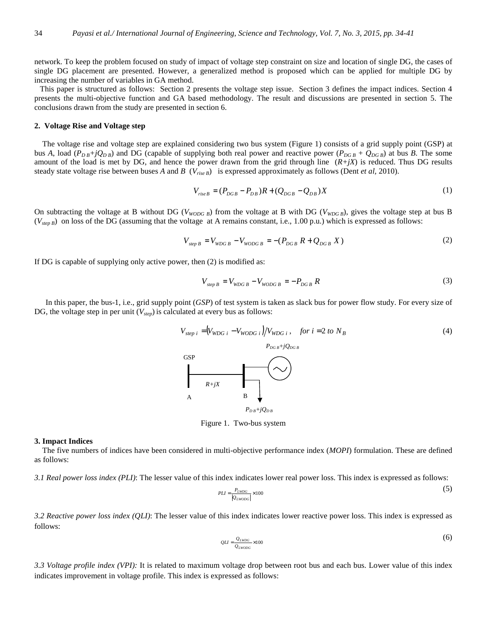network. To keep the problem focused on study of impact of voltage step constraint on size and location of single DG, the cases of single DG placement are presented. However, a generalized method is proposed which can be applied for multiple DG by increasing the number of variables in GA method.

This paper is structured as follows: Section 2 presents the voltage step issue. Section 3 defines the impact indices. Section 4 presents the multi-objective function and GA based methodology. The result and discussions are presented in section 5. The conclusions drawn from the study are presented in section 6.

## **2. Voltage Rise and Voltage step**

The voltage rise and voltage step are explained considering two bus system (Figure 1) consists of a grid supply point (GSP) at bus *A*, load  $(P_{DB} + jQ_{DB})$  and DG (capable of supplying both real power and reactive power  $(P_{DGB} + Q_{DGB})$  at bus *B*. The some amount of the load is met by DG, and hence the power drawn from the grid through line  $(R+jX)$  is reduced. Thus DG results steady state voltage rise between buses *A* and *B* ( $V_{riseB}$ ) is expressed approximately as follows (Dent *et al.* 2010).

$$
V_{riseB} = (P_{DGB} - P_{DB})R + (Q_{DGB} - Q_{DB})X
$$
 (1)

On subtracting the voltage at B without DG (*VWODG B*) from the voltage at B with DG (*VWDG B*), gives the voltage step at bus B  $(V_{\text{step }B})$  on loss of the DG (assuming that the voltage at A remains constant, i.e., 1.00 p.u.) which is expressed as follows:

$$
V_{\text{step }B} = V_{\text{WDG }B} - V_{\text{WODG }B} = -(P_{DGB} R + Q_{DGB} X) \tag{2}
$$

If DG is capable of supplying only active power, then (2) is modified as:

$$
V_{\text{step }B} = V_{\text{WDG }B} - V_{\text{WODGB}} = -P_{DGB}R
$$
\n(3)

In this paper, the bus-1, i.e., grid supply point (*GSP*) of test system is taken as slack bus for power flow study. For every size of DG, the voltage step in per unit  $(V_{\text{step}})$  is calculated at every bus as follows:

$$
V_{step\ i} = (V_{WDG\ i} - V_{WODG\ i})/V_{WDG\ i}, \quad \text{for } i = 2 \text{ to } N_B
$$
\n
$$
P_{DGB} + jQ_{DGB}
$$
\n
$$
R + jX
$$
\nA\nB\n
$$
P_{DB} + jQ_{DB}
$$
\n
$$
(4)
$$

Figure 1. Two-bus system

#### **3. Impact Indices**

The five numbers of indices have been considered in multi-objective performance index (*MOPI*) formulation. These are defined as follows:

*3.1 Real power loss index (PLI)*: The lesser value of this index indicates lower real power loss. This index is expressed as follows:

$$
PLI = \frac{P_{LWDG}}{|Q_{LWDOG}|} \times 100
$$
\n<sup>(5)</sup>

*3.2 Reactive power loss index (QLI)*: The lesser value of this index indicates lower reactive power loss. This index is expressed as follows:

$$
QLI = \frac{Q_{LWDG}}{Q_{LWDG}} \times 100
$$
 (6)

*3.3 Voltage profile index (VPI):* It is related to maximum voltage drop between root bus and each bus. Lower value of this index indicates improvement in voltage profile. This index is expressed as follows: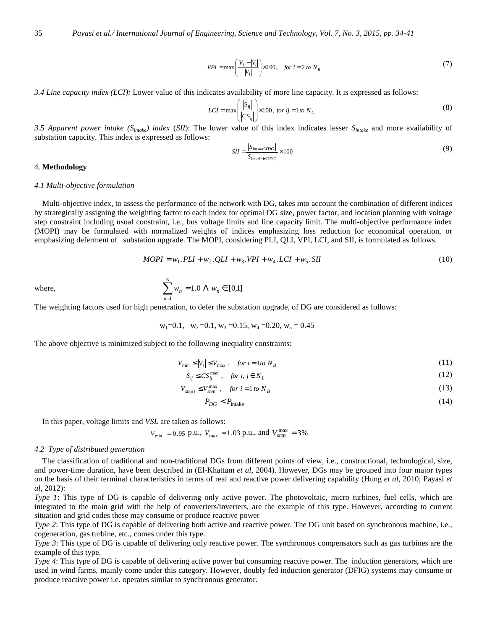$$
VPI = \max\left(\frac{|V_1| - |V_i|}{|V_1|}\right) \times 100, \quad \text{for } i = 2 \text{ to } N_B
$$
 (7)

*3.4 Line capacity index (LCI):* Lower value of this indicates availability of more line capacity. It is expressed as follows:

$$
LCI = \max\left(\frac{|S_{ij}|}{|CS_{ij}|}\right) \times 100, \text{ for } ij = 1 \text{ to } N_L
$$
\n
$$
(8)
$$

*3.5 Apparent power intake (Sintake) index* (*SII*): The lower value of this index indicates lesser *Sintake* and more availability of substation capacity. This index is expressed as follows:

$$
SII = \frac{|S_{\text{int}akewDG}|}{|S_{\text{int}akewODG}|} \times 100
$$
 (9)

#### 4. **Methodology**

#### *4.1 Multi-objective formulation*

Multi-objective index, to assess the performance of the network with DG, takes into account the combination of different indices by strategically assigning the weighting factor to each index for optimal DG size, power factor, and location planning with voltage step constraint including usual constraint, i.e., bus voltage limits and line capacity limit. The multi-objective performance index (MOPI) may be formulated with normalized weights of indices emphasizing loss reduction for economical operation, or emphasizing deferment of substation upgrade. The MOPI, considering PLI, QLI, VPI, LCI, and SII*,* is formulated as follows.

$$
MOPI = w_1.PLI + w_2.QLI + w_3.VPI + w_4.LCI + w_5. SII
$$
\n(10)

where, 
$$
\sum_{n=1}^{5} w_n = 1.0 \ \Lambda \ w_n \in [0,1]
$$

The weighting factors used for high penetration, to defer the substation upgrade, of DG are considered as follows:

 $w_1=0.1$ ,  $w_2=0.1$ ,  $w_3=0.15$ ,  $w_4=0.20$ ,  $w_5=0.45$ 

The above objective is minimized subject to the following inequality constraints:

$$
V_{\min} \le |V_i| \le V_{\max} , \quad \text{for } i = 1 \text{ to } N_B \tag{11}
$$

$$
S_{ij} \leq CS_{ij}^{\max} , \quad \text{for } i, j \in N_L \tag{12}
$$

$$
V_{stepi} \le V_{step}^{\max}, \quad for \ i = 1 \ to \ N_B \tag{13}
$$

$$
P_{DG} < P_{\text{intake}} \tag{14}
$$

In this paper, voltage limits and *VSL* are taken as follows:

$$
V_{\text{min}} = 0.95 \text{ p.u.}, V_{\text{max}} = 1.03 \text{ p.u.}, \text{ and } V_{\text{step}}^{\text{max}} = 3\%
$$

## *4.2 Type of distributed generation*

The classification of traditional and non-traditional DGs from different points of view, i.e., constructional, technological, size, and power-time duration, have been described in (El-Khattam *et al*, 2004). However, DGs may be grouped into four major types on the basis of their terminal characteristics in terms of real and reactive power delivering capability (Hung *et al,* 2010; Payasi *et al,* 2012):

*Type 1*: This type of DG is capable of delivering only active power. The photovoltaic, micro turbines, fuel cells, which are integrated to the main grid with the help of converters/inverters, are the example of this type. However, according to current situation and grid codes these may consume or produce reactive power

*Type 2*: This type of DG is capable of delivering both active and reactive power. The DG unit based on synchronous machine, i.e., cogeneration, gas turbine, etc., comes under this type.

*Type 3*: This type of DG is capable of delivering only reactive power. The synchronous compensators such as gas turbines are the example of this type.

*Type 4*: This type of DG is capable of delivering active power but consuming reactive power. The induction generators, which are used in wind farms, mainly come under this category. However, doubly fed induction generator (DFIG) systems may consume or produce reactive power i.e. operates similar to synchronous generator.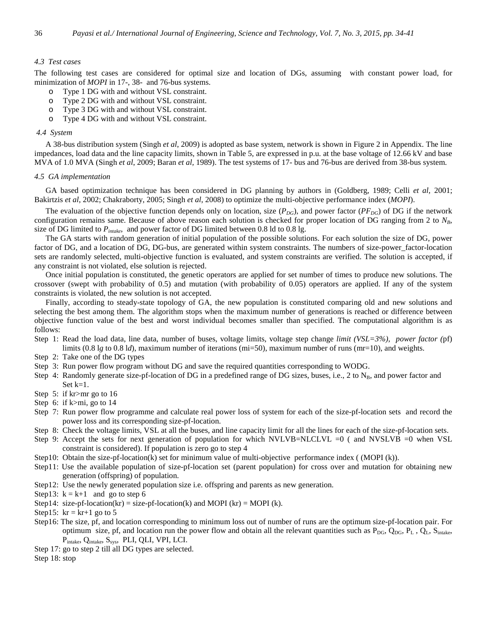## *4.3 Test cases*

The following test cases are considered for optimal size and location of DGs, assuming with constant power load, for minimization of *MOPI* in 17-, 38- and 76-bus systems.

- o Type 1 DG with and without VSL constraint.
- o Type 2 DG with and without VSL constraint.
- o Type 3 DG with and without VSL constraint.
- o Type 4 DG with and without VSL constraint.

#### *4.4 System*

A 38-bus distribution system (Singh *et al*, 2009) is adopted as base system, network is shown in Figure 2 in Appendix. The line impedances, load data and the line capacity limits, shown in Table 5, are expressed in p.u. at the base voltage of 12.66 kV and base MVA of 1.0 MVA (Singh *et al*, 2009; Baran *et al,* 1989). The test systems of 17- bus and 76-bus are derived from 38-bus system.

## *4.5 GA implementation*

GA based optimization technique has been considered in DG planning by authors in (Goldberg, 1989; Celli *et al,* 2001; Bakirtzis *et al*, 2002; Chakraborty, 2005; Singh *et al*, 2008) to optimize the multi-objective performance index (*MOPI*).

The evaluation of the objective function depends only on location, size  $(P_{DG})$ , and power factor  $(P_{DG})$  of DG if the network configuration remains same. Because of above reason each solution is checked for proper location of DG ranging from 2 to *NB*, size of DG limited to *Pintake*, and power factor of DG limited between 0.8 ld to 0.8 lg.

The GA starts with random generation of initial population of the possible solutions. For each solution the size of DG, power factor of DG, and a location of DG, DG-bus, are generated within system constraints. The numbers of size-power\_factor-location sets are randomly selected, multi-objective function is evaluated, and system constraints are verified. The solution is accepted, if any constraint is not violated, else solution is rejected.

Once initial population is constituted, the genetic operators are applied for set number of times to produce new solutions. The crossover (swept with probability of 0.5) and mutation (with probability of 0.05) operators are applied. If any of the system constraints is violated, the new solution is not accepted.

Finally, according to steady-state topology of GA, the new population is constituted comparing old and new solutions and selecting the best among them. The algorithm stops when the maximum number of generations is reached or difference between objective function value of the best and worst individual becomes smaller than specified. The computational algorithm is as follows:

- Step 1: Read the load data, line data, number of buses, voltage limits, voltage step change *limit (VSL=3%), power factor (*pf) limits (0.8 l*g* to 0.8 l*d*), maximum number of iterations (mi=50), maximum number of runs (mr=10), and weights.
- Step 2: Take one of the DG types
- Step 3: Run power flow program without DG and save the required quantities corresponding to WODG.
- Step 4: Randomly generate size-pf-location of DG in a predefined range of DG sizes, buses, i.e., 2 to  $N_B$ , and power factor and Set k=1.
- Step 5: if kr>mr go to 16
- Step 6: if k>mi, go to 14
- Step 7: Run power flow programme and calculate real power loss of system for each of the size-pf-location sets and record the power loss and its corresponding size-pf-location.
- Step 8: Check the voltage limits, VSL at all the buses, and line capacity limit for all the lines for each of the size-pf-location sets.
- Step 9: Accept the sets for next generation of population for which NVLVB=NLCLVL =0 ( and NVSLVB =0 when VSL constraint is considered). If population is zero go to step 4
- Step10: Obtain the size-pf-location(k) set for minimum value of multi-objective performance index ( (MOPI (k)).
- Step11: Use the available population of size-pf-location set (parent population) for cross over and mutation for obtaining new generation (offspring) of population.
- Step12: Use the newly generated population size i.e. offspring and parents as new generation.
- Step13:  $k = k+1$  and go to step 6
- Step14: size-pf-location(kr) = size-pf-location(k) and MOPI (kr) = MOPI (k).
- Step15:  $kr = kr+1$  go to 5
- Step16: The size, pf, and location corresponding to minimum loss out of number of runs are the optimum size-pf-location pair. For optimum size, pf, and location run the power flow and obtain all the relevant quantities such as  $P_{DG}$ ,  $Q_{DG}$ ,  $P_L$ ,  $Q_L$ ,  $S_{intake}$ , P<sub>intake</sub>, Q<sub>intake</sub>, S<sub>sys</sub>, PLI, QLI, VPI, LCI.
- Step 17: go to step 2 till all DG types are selected.
- Step 18: stop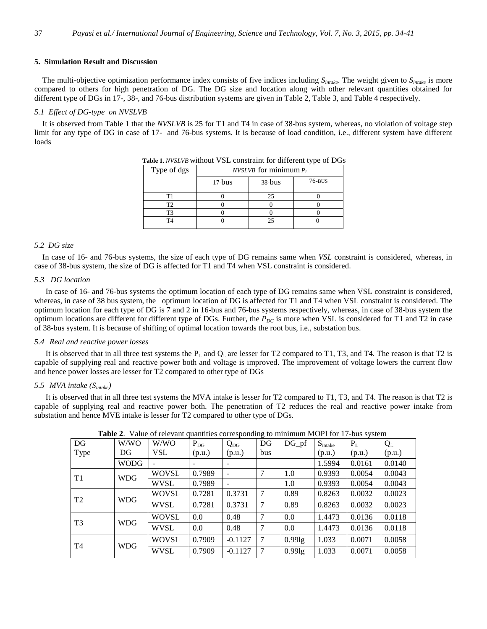## **5. Simulation Result and Discussion**

The multi-objective optimization performance index consists of five indices including *Sintake*. The weight given to *Sintake* is more compared to others for high penetration of DG. The DG size and location along with other relevant quantities obtained for different type of DGs in 17-, 38-, and 76-bus distribution systems are given in Table 2, Table 3, and Table 4 respectively.

## *5.1 Effect of DG-type on NVSLVB*

It is observed from Table 1 that the *NVSLVB* is 25 for T1 and T4 in case of 38-bus system, whereas, no violation of voltage step limit for any type of DG in case of 17- and 76-bus systems. It is because of load condition, i.e., different system have different loads

| Type of dgs | <i>NVSLVB</i> for minimum $P_L$ |          |            |  |  |  |  |
|-------------|---------------------------------|----------|------------|--|--|--|--|
|             | $17-bus$                        | $38-bus$ | $76 - BUS$ |  |  |  |  |
|             |                                 | 25       |            |  |  |  |  |
| ۳           |                                 |          |            |  |  |  |  |
|             |                                 |          |            |  |  |  |  |
| T4          |                                 | 25       |            |  |  |  |  |

 **Table 1.** *NVSLVB* without VSL constraint for different type of DGs

## *5.2 DG size*

In case of 16- and 76-bus systems, the size of each type of DG remains same when *VSL* constraint is considered, whereas, in case of 38-bus system, the size of DG is affected for T1 and T4 when VSL constraint is considered.

## *5.3 DG location*

In case of 16- and 76-bus systems the optimum location of each type of DG remains same when VSL constraint is considered, whereas, in case of 38 bus system, the optimum location of DG is affected for T1 and T4 when VSL constraint is considered. The optimum location for each type of DG is 7 and 2 in 16-bus and 76-bus systems respectively, whereas, in case of 38-bus system the optimum locations are different for different type of DGs. Further, the *PDG* is more when VSL is considered for T1 and T2 in case of 38-bus system. It is because of shifting of optimal location towards the root bus, i.e., substation bus.

## *5.4 Real and reactive power losses*

It is observed that in all three test systems the  $P_L$  and  $Q_L$  are lesser for T2 compared to T1, T3, and T4. The reason is that T2 is capable of supplying real and reactive power both and voltage is improved. The improvement of voltage lowers the current flow and hence power losses are lesser for T2 compared to other type of DGs

## *5.5 MVA intake (Sintake)*

It is observed that in all three test systems the MVA intake is lesser for T2 compared to T1, T3, and T4. The reason is that T2 is capable of supplying real and reactive power both. The penetration of T2 reduces the real and reactive power intake from substation and hence MVE intake is lesser for T2 compared to other type of DGs.

|                |             |              |          |           | $\circ$ |                    |                     |        |        |
|----------------|-------------|--------------|----------|-----------|---------|--------------------|---------------------|--------|--------|
| DG             | W/WO        | W/WO         | $P_{DG}$ | $Q_{DG}$  | DG      | $DG_p f$           | $S_{\text{intake}}$ | $P_L$  | $Q_L$  |
| Type           | DG          | <b>VSL</b>   | (p.u.)   | (p.u.)    | bus     |                    | (p.u.)              | (p.u.) | (p.u.) |
|                | <b>WODG</b> |              | -        |           |         |                    | 1.5994              | 0.0161 | 0.0140 |
| T1             | <b>WDG</b>  | WOVSL        | 0.7989   |           | 7       | 1.0                | 0.9393              | 0.0054 | 0.0043 |
|                |             | WVSL         | 0.7989   |           |         | 1.0                | 0.9393              | 0.0054 | 0.0043 |
| T <sub>2</sub> | <b>WDG</b>  | <b>WOVSL</b> | 0.7281   | 0.3731    | 7       | 0.89               | 0.8263              | 0.0032 | 0.0023 |
|                |             | <b>WVSL</b>  | 0.7281   | 0.3731    | 7       | 0.89               | 0.8263              | 0.0032 | 0.0023 |
| T3             | <b>WDG</b>  | <b>WOVSL</b> | 0.0      | 0.48      | 7       | 0.0                | 1.4473              | 0.0136 | 0.0118 |
|                |             | <b>WVSL</b>  | 0.0      | 0.48      | 7       | 0.0                | 1.4473              | 0.0136 | 0.0118 |
| T4             | <b>WDG</b>  | <b>WOVSL</b> | 0.7909   | $-0.1127$ | 7       | 0.99lg             | 1.033               | 0.0071 | 0.0058 |
|                |             | <b>WVSL</b>  | 0.7909   | $-0.1127$ | 7       | 0.991 <sub>g</sub> | 1.033               | 0.0071 | 0.0058 |

**Table 2**. Value of relevant quantities corresponding to minimum MOPI for 17-bus system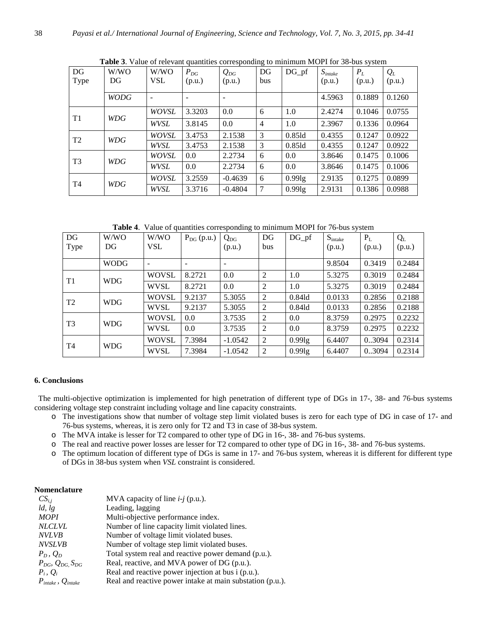| DG             | W/WO        | W/WO         | $P_{DG}$ | $Q_{DG}$  | DG             | $DG_p f$  | $S_{intake}$ | $P_L$  | $Q_L$  |
|----------------|-------------|--------------|----------|-----------|----------------|-----------|--------------|--------|--------|
| Type           | DG.         | <b>VSL</b>   | (p.u.)   | (p.u.)    | bus            |           | (p.u.)       | (p.u.) | (p.u.) |
|                | <b>WODG</b> |              |          |           |                |           | 4.5963       | 0.1889 | 0.1260 |
| T <sub>1</sub> | WDG         | <b>WOVSL</b> | 3.3203   | 0.0       | 6              | 1.0       | 2.4274       | 0.1046 | 0.0755 |
|                |             | WVSL         | 3.8145   | 0.0       | $\overline{4}$ | 1.0       | 2.3967       | 0.1336 | 0.0964 |
| T <sub>2</sub> | WDG         | WOVSL        | 3.4753   | 2.1538    | 3              | $0.85$ ld | 0.4355       | 0.1247 | 0.0922 |
|                |             | WVSL         | 3.4753   | 2.1538    | 3              | 0.85ld    | 0.4355       | 0.1247 | 0.0922 |
| T <sub>3</sub> | WDG         | <b>WOVSL</b> | 0.0      | 2.2734    | 6              | 0.0       | 3.8646       | 0.1475 | 0.1006 |
|                |             | WVSL         | 0.0      | 2.2734    | 6              | 0.0       | 3.8646       | 0.1475 | 0.1006 |
| T <sub>4</sub> | WDG         | <b>WOVSL</b> | 3.2559   | $-0.4639$ | 6              | 0.99lg    | 2.9135       | 0.1275 | 0.0899 |
|                |             | WVSL         | 3.3716   | $-0.4804$ | 7              | 0.99lg    | 2.9131       | 0.1386 | 0.0988 |

**Table 3**. Value of relevant quantities corresponding to minimum MOPI for 38-bus system

**Table 4**. Value of quantities corresponding to minimum MOPI for 76-bus system

| DG<br>Type     | W/WO<br>DG  | W/WO<br>VSL  | $P_{DG}$ (p.u.) | $Q_{DG}$<br>(p.u.)       | DG<br>bus | $DG_p f$ | $S_{\text{intake}}$<br>(p.u.) | $P_L$<br>(p.u.) | $Q_{L}$<br>(p.u.) |
|----------------|-------------|--------------|-----------------|--------------------------|-----------|----------|-------------------------------|-----------------|-------------------|
|                | <b>WODG</b> |              | -               | $\overline{\phantom{a}}$ |           |          | 9.8504                        | 0.3419          | 0.2484            |
| T1             | <b>WDG</b>  | <b>WOVSL</b> | 8.2721          | 0.0                      | 2         | 1.0      | 5.3275                        | 0.3019          | 0.2484            |
|                |             | <b>WVSL</b>  | 8.2721          | 0.0                      | 2         | 1.0      | 5.3275                        | 0.3019          | 0.2484            |
| T <sub>2</sub> | <b>WDG</b>  | <b>WOVSL</b> | 9.2137          | 5.3055                   | 2         | 0.841d   | 0.0133                        | 0.2856          | 0.2188            |
|                |             | <b>WVSL</b>  | 9.2137          | 5.3055                   | 2         | 0.84ld   | 0.0133                        | 0.2856          | 0.2188            |
| T <sub>3</sub> | <b>WDG</b>  | <b>WOVSL</b> | 0.0             | 3.7535                   | 2         | 0.0      | 8.3759                        | 0.2975          | 0.2232            |
|                |             | <b>WVSL</b>  | 0.0             | 3.7535                   | 2         | 0.0      | 8.3759                        | 0.2975          | 0.2232            |
| T <sub>4</sub> | <b>WDG</b>  | <b>WOVSL</b> | 7.3984          | $-1.0542$                | 2         | 0.99lg   | 6.4407                        | 0.3094          | 0.2314            |
|                |             | WVSL         | 7.3984          | $-1.0542$                | 2         | 0.991g   | 6.4407                        | 0.3094          | 0.2314            |

## **6. Conclusions**

 The multi-objective optimization is implemented for high penetration of different type of DGs in 17-, 38- and 76-bus systems considering voltage step constraint including voltage and line capacity constraints.

- o The investigations show that number of voltage step limit violated buses is zero for each type of DG in case of 17- and 76-bus systems, whereas, it is zero only for T2 and T3 in case of 38-bus system.
- o The MVA intake is lesser for T2 compared to other type of DG in 16-, 38- and 76-bus systems.
- o The real and reactive power losses are lesser for T2 compared to other type of DG in 16-, 38- and 76-bus systems.
- o The optimum location of different type of DGs is same in 17- and 76-bus system, whereas it is different for different type of DGs in 38-bus system when *VSL* constraint is considered.

## **Nomenclature**

| $CS_{i,j}$                                | MVA capacity of line $i-j$ (p.u.).                        |
|-------------------------------------------|-----------------------------------------------------------|
| ld,lg                                     | Leading, lagging                                          |
| <b>MOPI</b>                               | Multi-objective performance index.                        |
| <b>NLCLVL</b>                             | Number of line capacity limit violated lines.             |
| <b>NVLVB</b>                              | Number of voltage limit violated buses.                   |
| <b>NVSLVB</b>                             | Number of voltage step limit violated buses.              |
| $P_D, Q_D$                                | Total system real and reactive power demand (p.u.).       |
| $P_{DG}$ , $Q_{DG}$ , $S_{DG}$            | Real, reactive, and MVA power of DG (p.u.).               |
| $P_i, Q_i$                                | Real and reactive power injection at bus i (p.u.).        |
| $P_{\text{intake}}$ , $Q_{\text{intake}}$ | Real and reactive power intake at main substation (p.u.). |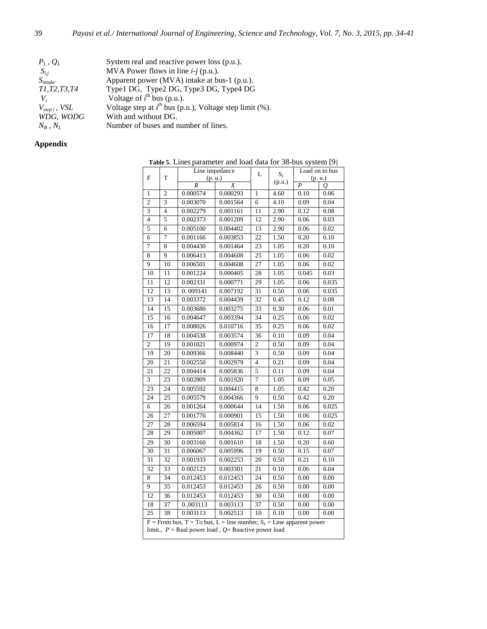| $P_L$ , $Q_L$       | System real and reactive power loss (p.u.).                  |
|---------------------|--------------------------------------------------------------|
| $S_{i,i}$           | MVA Power flows in line $i-j$ (p.u.).                        |
| $S_{intake}$        | Apparent power (MVA) intake at bus-1 (p.u.).                 |
| T1, T2, T3, T4      | Type1 DG, Type2 DG, Type3 DG, Type4 DG                       |
| V,                  | Voltage of $i^{\text{th}}$ bus (p.u.).                       |
| $V_{step\ i},\ VSL$ | Voltage step at $i^{th}$ bus (p.u.), Voltage step limit (%). |
| WDG, WODG           | With and without DG.                                         |
| $N_R$ , $N_L$       | Number of buses and number of lines.                         |

## **Appendix**

**Table 5**. Lines parameter and load data for 38-bus system [9]

|                 |                                                          | Line impedance                                                           | L        | $S_L$           |        | Load on to bus   |       |  |
|-----------------|----------------------------------------------------------|--------------------------------------------------------------------------|----------|-----------------|--------|------------------|-------|--|
| F               | T                                                        | (p.u.)                                                                   |          |                 | (p.u.) | (p.u.)           |       |  |
|                 |                                                          | $\overline{R}$                                                           | X        |                 |        | $\boldsymbol{P}$ | 0     |  |
| 1               | $\overline{c}$                                           | 0.000574                                                                 | 0.000293 | 1               | 4.60   | 0.10             | 0.06  |  |
| $\overline{2}$  | 3                                                        | 0.003070                                                                 | 0.001564 | 6               | 4.10   | 0.09             | 0.04  |  |
| 3               | $\overline{4}$                                           | 0.002279                                                                 | 0.001161 | 11              | 2.90   | 0.12             | 0.08  |  |
| $\overline{4}$  | 5                                                        | 0.002373                                                                 | 0.001209 | 12              | 2.90   | 0.06             | 0.03  |  |
| 5               | 6                                                        | 0.005100                                                                 | 0.004402 | 13              | 2.90   | 0.06             | 0.02  |  |
| 6               | 7                                                        | 0.001166                                                                 | 0.003853 | 22              | 1.50   | 0.20             | 0.10  |  |
| $\overline{7}$  | 8                                                        | 0.004430                                                                 | 0.001464 | 23              | 1.05   | 0.20             | 0.10  |  |
| 8               | 9                                                        | 0.006413                                                                 | 0.004608 | 25              | 1.05   | 0.06             | 0.02  |  |
| 9               | 10                                                       | 0.006501                                                                 | 0.004608 | 27              | 1.05   | 0.06             | 0.02  |  |
| 10              | 11                                                       | 0.001224                                                                 | 0.000405 | 28              | 1.05   | 0.045            | 0.03  |  |
| 11              | 12                                                       | 0.002331                                                                 | 0.000771 | 29              | 1.05   | 0.06             | 0.035 |  |
| 12              | 13                                                       | 0.009141                                                                 | 0.007192 | 31              | 0.50   | 0.06             | 0.035 |  |
| 13              | 14                                                       | 0.003372                                                                 | 0.004439 | 32              | 0.45   | 0.12             | 0.08  |  |
| 14              | 15                                                       | 0.003680                                                                 | 0.003275 | 33              | 0.30   | 0.06             | 0.01  |  |
| 15              | 16                                                       | 0.004647                                                                 | 0.003394 | 34              | 0.25   | 0.06             | 0.02  |  |
| 16              | 17                                                       | 0.008026                                                                 | 0.010716 | 35              | 0.25   | 0.06             | 0.02  |  |
| 17              | 18                                                       | 0.004538                                                                 | 0.003574 | 36              | 0.10   | 0.09             | 0.04  |  |
| $\overline{c}$  | 19                                                       | 0.001021                                                                 | 0.000974 | $\overline{c}$  | 0.50   | 0.09             | 0.04  |  |
| 19              | 20                                                       | 0.009366                                                                 | 0.008440 | 3               | 0.50   | 0.09             | 0.04  |  |
| 20              | $\overline{21}$                                          | 0.002550                                                                 | 0.002979 | $\overline{4}$  | 0.21   | 0.09             | 0.04  |  |
| 21              | 22                                                       | 0.004414                                                                 | 0.005836 | 5               | 0.11   | 0.09             | 0.04  |  |
| 3               | 23                                                       | 0.002809                                                                 | 0.001920 | 7               | 1.05   | 0.09             | 0.05  |  |
| 23              | 24                                                       | 0.005592                                                                 | 0.004415 | 8               | 1.05   | 0.42             | 0.20  |  |
| 24              | 25                                                       | 0.005579                                                                 | 0.004366 | 9               | 0.50   | 0.42             | 0.20  |  |
| 6               | 26                                                       | 0.001264                                                                 | 0.000644 | 14              | 1.50   | 0.06             | 0.025 |  |
| 26              | 27                                                       | 0.001770                                                                 | 0.000901 | 15              | 1.50   | 0.06             | 0.025 |  |
| 27              | 28                                                       | 0.006594                                                                 | 0.005814 | 16              | 1.50   | 0.06             | 0.02  |  |
| 28              | 29                                                       | 0.005007                                                                 | 0.004362 | 17              | 1.50   | 0.12             | 0.07  |  |
| 29              | 30                                                       | 0.003160                                                                 | 0.001610 | 18              | 1.50   | 0.20             | 0.60  |  |
| 30              | 31                                                       | 0.006067                                                                 | 0.005996 | 19              | 0.50   | 0.15             | 0.07  |  |
| $\overline{31}$ | $\overline{32}$                                          | 0.001933                                                                 | 0.002253 | 20              | 0.50   | 0.21             | 0.10  |  |
| 32              | 33                                                       | 0.002123                                                                 | 0.003301 | 21              | 0.10   | 0.06             | 0.04  |  |
| 8               | 34                                                       | 0.012453                                                                 | 0.012453 | 24              | 0.50   | 0.00             | 0.00  |  |
| 9               | 35                                                       | 0.012453                                                                 | 0.012453 | 26              | 0.50   | 0.00             | 0.00  |  |
| 12              | 36                                                       | 0.012453                                                                 | 0.012453 | 30              | 0.50   | 0.00             | 0.00  |  |
| 18              | $\overline{37}$                                          | 0.003113                                                                 | 0.003113 | $\overline{37}$ | 0.50   | 0.00             | 0.00  |  |
| 25              | 38                                                       | 0.003113                                                                 | 0.002513 | 10              | 0.10   | 0.00             | 0.00  |  |
|                 |                                                          | $F =$ From bus, T = To bus, L = line number, $S_L =$ Line apparent power |          |                 |        |                  |       |  |
|                 | limit., $P =$ Real power load, $Q =$ Reactive power load |                                                                          |          |                 |        |                  |       |  |
|                 |                                                          |                                                                          |          |                 |        |                  |       |  |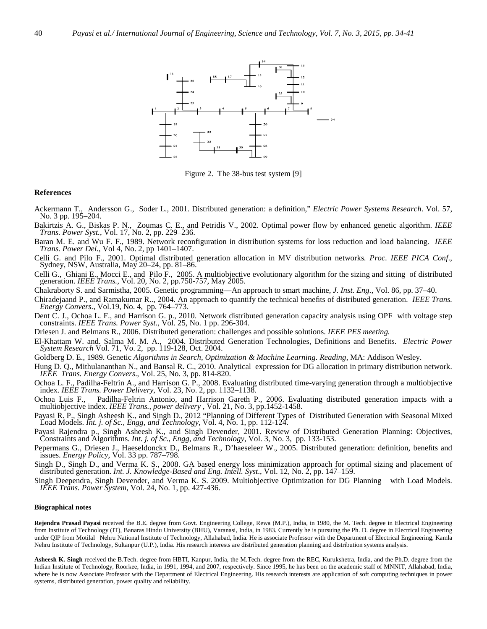

Figure 2. The 38-bus test system [9]

#### **References**

- Ackermann T., Andersson G., Soder L., 2001. Distributed generation: a definition," *Electric Power Systems Research*. Vol. 57, No. 3 pp. 195–204.
- Bakirtzis A. G., Biskas P. N., Zoumas C. E., and Petridis V., 2002. Optimal power flow by enhanced genetic algorithm. *IEEE Trans. Power Syst.*, Vol. 17, No. 2, pp. 229–236.
- Baran M. E. and Wu F. F., 1989. Network reconfiguration in distribution systems for loss reduction and load balancing. *IEEE Trans. Power Del*., Vol 4, No. 2, pp 1401–1407.
- Celli G. and Pilo F., 2001. Optimal distributed generation allocation in MV distribution networks*. Proc. IEEE PICA Conf*., Sydney, NSW, Australia, May 20–24, pp. 81–86.
- Celli G., Ghiani E., Mocci E., and Pilo F., 2005. A multiobjective evolutionary algorithm for the sizing and sitting of distributed generation. *IEEE Trans.,* Vol. 20, No. 2, pp.750-757, May 2005.
- Chakraborty S. and Sarmistha, 2005. Genetic programming—An approach to smart machine, *J. Inst. Eng.*, Vol. 86, pp. 37–40.
- Chiradejaand P., and Ramakumar R.., 2004. An approach to quantify the technical benefits of distributed generation. *IEEE Trans. Energy Convers*., Vol.19, No. 4, pp. 764–773.
- Dent C. J., Ochoa L. F., and Harrison G. p., 2010. Network distributed generation capacity analysis using OPF with voltage step constraints. *IEEE Trans. Power Syst*., Vol. 25, No. 1 pp. 296-304.
- Driesen J. and Belmans R., 2006. Distributed generation: challenges and possible solutions. *IEEE PES meeting.*
- El-Khattam W. and. Salma M. M. A., 2004. Distributed Generation Technologies, Definitions and Benefits. *Electric Power System Research* Vol. 71, Vo. 2, pp. 119-128, Oct. 2004.
- Goldberg D. E., 1989. Genetic *Algorithms in Search, Optimization & Machine Learning. Reading*, MA: Addison Wesley.
- Hung D. Q., Mithulananthan N., and Bansal R. C., 2010. Analytical expression for DG allocation in primary distribution network. *IEEE Trans. Energy Convers*., Vol. 25, No. 3, pp. 814-820.
- Ochoa L. F., Padilha-Feltrin A., and Harrison G. P., 2008. Evaluating distributed time-varying generation through a multiobjective index. *IEEE Trans. Power Delivery*, Vol. 23, No. 2, pp. 1132–1138.
- Ochoa Luis F.*,* Padilha-Feltrin Antonio, and Harrison Gareth P., 2006. Evaluating distributed generation impacts with a multiobjective index. *IEEE Trans., power delivery* , Vol. 21, No. 3, pp.1452-1458.
- Payasi R. P., Singh Asheesh K., and Singh D., 2012 "Planning of Different Types of Distributed Generation with Seasonal Mixed Load Models. *Int. j. of Sc., Engg, and Technology,* Vol. 4, No. 1, pp. 112-124.
- Payasi Rajendra p., Singh Asheesh K., and Singh Devender, 2001. Review of Distributed Generation Planning: Objectives, Constraints and Algorithms. *Int. j. of Sc., Engg, and Technology*, Vol. 3, No. 3, pp. 133-153.
- Pepermans G., Driesen J., Haeseldonckx D., Belmans R., D'haeseleer W., 2005. Distributed generation: definition, benefits and issues. *Energy Policy*, Vol. 33 pp. 787–798.
- Singh D., Singh D., and Verma K. S., 2008. GA based energy loss minimization approach for optimal sizing and placement of distributed generation. *Int. J. Knowledge-Based and Eng. Intell. Syst*., Vol. 12, No. 2, pp. 147–159.
- Singh Deependra, Singh Devender, and Verma K. S. 2009. Multiobjective Optimization for DG Planning with Load Models. *IEEE Trans. Power System*, Vol. 24, No. 1, pp. 427-436.

#### **Biographical notes**

**Rejendra Prasad Payasi** received the B.E. degree from Govt. Engineering College, Rewa (M.P.), India, in 1980, the M. Tech. degree in Electrical Engineering from Institute of Technology (IT), Banaras Hindu University (BHU), Varanasi, India, in 1983. Currently he is pursuing the Ph. D. degree in Electrical Engineering under QIP from Motilal Nehru National Institute of Technology, Allahabad, India. He is associate Professor with the Department of Electrical Engineering, Kamla Nehru Institute of Technology, Sultanpur (U.P.), India. His research interests are distributed generation planning and distribution systems analysis.

**Asheesh K. Singh** received the B.Tech. degree from HBTI, Kanpur, India, the M.Tech. degree from the REC, Kurukshetra, India, and the Ph.D. degree from the Indian Institute of Technology, Roorkee, India, in 1991, 1994, and 2007, respectively. Since 1995, he has been on the academic staff of MNNIT, Allahabad, India, where he is now Associate Professor with the Department of Electrical Engineering. His research interests are application of soft computing techniques in power systems, distributed generation, power quality and reliability.